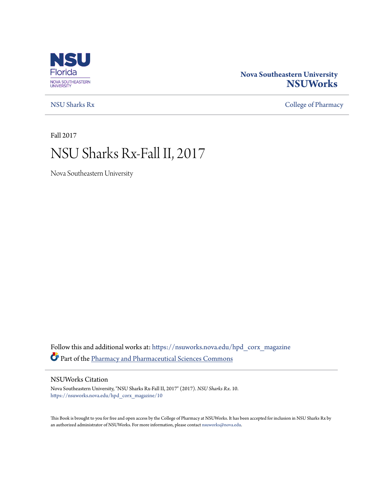

### **Nova Southeastern University [NSUWorks](https://nsuworks.nova.edu?utm_source=nsuworks.nova.edu%2Fhpd_corx_magazine%2F10&utm_medium=PDF&utm_campaign=PDFCoverPages)**

[NSU Sharks Rx](https://nsuworks.nova.edu/hpd_corx_magazine?utm_source=nsuworks.nova.edu%2Fhpd_corx_magazine%2F10&utm_medium=PDF&utm_campaign=PDFCoverPages) [College of Pharmacy](https://nsuworks.nova.edu/hpd_corx?utm_source=nsuworks.nova.edu%2Fhpd_corx_magazine%2F10&utm_medium=PDF&utm_campaign=PDFCoverPages)

Fall 2017

# NSU Sharks Rx-Fall II, 2017

Nova Southeastern University

Follow this and additional works at: [https://nsuworks.nova.edu/hpd\\_corx\\_magazine](https://nsuworks.nova.edu/hpd_corx_magazine?utm_source=nsuworks.nova.edu%2Fhpd_corx_magazine%2F10&utm_medium=PDF&utm_campaign=PDFCoverPages) Part of the [Pharmacy and Pharmaceutical Sciences Commons](http://network.bepress.com/hgg/discipline/731?utm_source=nsuworks.nova.edu%2Fhpd_corx_magazine%2F10&utm_medium=PDF&utm_campaign=PDFCoverPages)

#### NSUWorks Citation

Nova Southeastern University, "NSU Sharks Rx-Fall II, 2017" (2017). *NSU Sharks Rx*. 10. [https://nsuworks.nova.edu/hpd\\_corx\\_magazine/10](https://nsuworks.nova.edu/hpd_corx_magazine/10?utm_source=nsuworks.nova.edu%2Fhpd_corx_magazine%2F10&utm_medium=PDF&utm_campaign=PDFCoverPages)

This Book is brought to you for free and open access by the College of Pharmacy at NSUWorks. It has been accepted for inclusion in NSU Sharks Rx by an authorized administrator of NSUWorks. For more information, please contact [nsuworks@nova.edu.](mailto:nsuworks@nova.edu)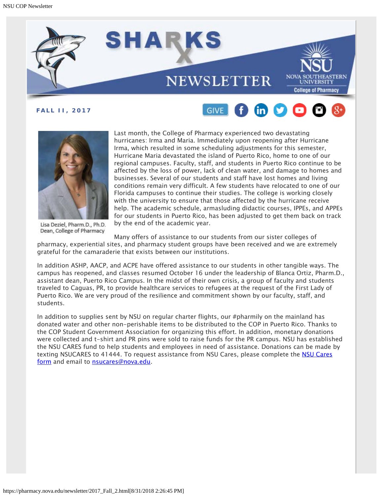





Lisa Deziel, Pharm.D., Ph.D. Dean, College of Pharmacy

Last month, the College of Pharmacy experienced two devastating hurricanes: Irma and Maria. Immediately upon reopening after Hurricane Irma, which resulted in some scheduling adjustments for this semester, Hurricane Maria devastated the island of Puerto Rico, home to one of our regional campuses. Faculty, staff, and students in Puerto Rico continue to be affected by the loss of power, lack of clean water, and damage to homes and businesses. Several of our students and staff have lost homes and living conditions remain very difficult. A few students have relocated to one of our Florida campuses to continue their studies. The college is working closely with the university to ensure that those affected by the hurricane receive help. The academic schedule, armasluding didactic courses, IPPEs, and APPEs for our students in Puerto Rico, has been adjusted to get them back on track by the end of the academic year.

Many offers of assistance to our students from our sister colleges of

pharmacy, experiential sites, and pharmacy student groups have been received and we are extremely grateful for the camaraderie that exists between our institutions.

In addition ASHP, AACP, and ACPE have offered assistance to our students in other tangible ways. The campus has reopened, and classes resumed October 16 under the leadership of Blanca Ortiz, Pharm.D., assistant dean, Puerto Rico Campus. In the midst of their own crisis, a group of faculty and students traveled to Caguas, PR, to provide healthcare services to refugees at the request of the First Lady of Puerto Rico. We are very proud of the resilience and commitment shown by our faculty, staff, and students.

In addition to supplies sent by NSU on regular charter flights, our #pharmily on the mainland has donated water and other non-perishable items to be distributed to the COP in Puerto Rico. Thanks to the COP Student Government Association for organizing this effort. In addition, monetary donations were collected and t-shirt and PR pins were sold to raise funds for the PR campus. NSU has established the NSU CARES fund to help students and employees in need of assistance. Donations can be made by texting NSUCARES to 41444. To request assistance from [NSU Cares](http://www.nova.edu/nsu-cares/index.html), please complete the NSU Cares [form](http://www.nova.edu/nsu-cares/index.html) and email to **nsucares@nova.edu**.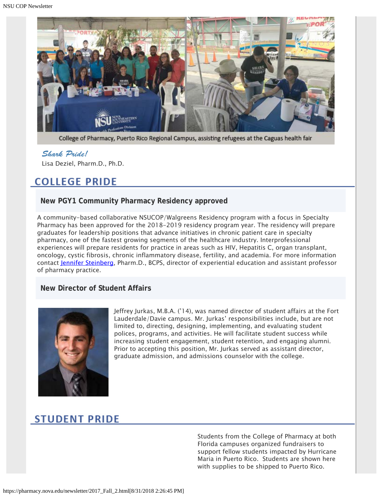

College of Pharmacy, Puerto Rico Regional Campus, assisting refugees at the Caguas health fair

#### *Shark Pride!*

Lisa Deziel, Pharm.D., Ph.D.

# **COLLEGE PRIDE**

#### **New PGY1 Community Pharmacy Residency approved**

A community-based collaborative NSUCOP/Walgreens Residency program with a focus in Specialty Pharmacy has been approved for the 2018-2019 residency program year. The residency will prepare graduates for leadership positions that advance initiatives in chronic patient care in specialty pharmacy, one of the fastest growing segments of the healthcare industry. Interprofessional experiences will prepare residents for practice in areas such as HIV, Hepatitis C, organ transplant, oncology, cystic fibrosis, chronic inflammatory disease, fertility, and academia. For more information contact [Jennifer Steinberg](mailto:js2128@nova.edu), Pharm.D., BCPS, director of experiential education and assistant professor of pharmacy practice.

#### **New Director of Student Affairs**



Jeffrey Jurkas, M.B.A. ('14), was named director of student affairs at the Fort Lauderdale/Davie campus. Mr. Jurkas' responsibilities include, but are not limited to, directing, designing, implementing, and evaluating student polices, programs, and activities. He will facilitate student success while increasing student engagement, student retention, and engaging alumni. Prior to accepting this position, Mr. Jurkas served as assistant director, graduate admission, and admissions counselor with the college.

### **STUDENT PRIDE**

Students from the College of Pharmacy at both Florida campuses organized fundraisers to support fellow students impacted by Hurricane Maria in Puerto Rico. Students are shown here with supplies to be shipped to Puerto Rico.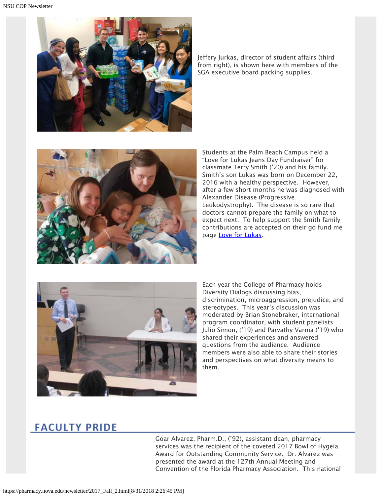

Jeffery Jurkas, director of student affairs (third from right), is shown here with members of the SGA executive board packing supplies.



Students at the Palm Beach Campus held a "Love for Lukas Jeans Day Fundraiser" for classmate Terry Smith ('20) and his family. Smith's son Lukas was born on December 22, 2016 with a healthy perspective. However, after a few short months he was diagnosed with Alexander Disease (Progressive Leukodystrophy). The disease is so rare that doctors cannot prepare the family on what to expect next. To help support the Smith family contributions are accepted on their go fund me page [Love for Lukas](https://www.gofundme.com/mvd6x-love-for-lukas).



Each year the College of Pharmacy holds Diversity Dialogs discussing bias, discrimination, microaggression, prejudice, and stereotypes. This year's discussion was moderated by Brian Stonebraker, international program coordinator, with student panelists Julio Simon, ('19) and Parvathy Varma ('19) who shared their experiences and answered questions from the audience. Audience members were also able to share their stories and perspectives on what diversity means to them.

# **FACULTY PRIDE**

Goar Alvarez, Pharm.D., ('92), assistant dean, pharmacy services was the recipient of the coveted 2017 Bowl of Hygeia Award for Outstanding Community Service. Dr. Alvarez was presented the award at the 127th Annual Meeting and Convention of the Florida Pharmacy Association. This national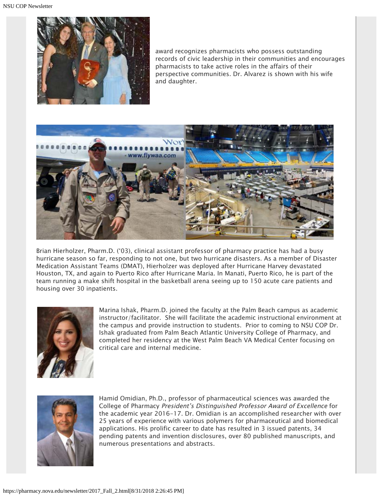

award recognizes pharmacists who possess outstanding records of civic leadership in their communities and encourages pharmacists to take active roles in the affairs of their perspective communities. Dr. Alvarez is shown with his wife and daughter.



Brian Hierholzer, Pharm.D. ('03), clinical assistant professor of pharmacy practice has had a busy hurricane season so far, responding to not one, but two hurricane disasters. As a member of Disaster Medication Assistant Teams (DMAT), Hierholzer was deployed after Hurricane Harvey devastated Houston, TX, and again to Puerto Rico after Hurricane Maria. In Manati, Puerto Rico, he is part of the team running a make shift hospital in the basketball arena seeing up to 150 acute care patients and housing over 30 inpatients.



Marina Ishak, Pharm.D. joined the faculty at the Palm Beach campus as academic instructor/facilitator. She will facilitate the academic instructional environment at the campus and provide instruction to students. Prior to coming to NSU COP Dr. Ishak graduated from Palm Beach Atlantic University College of Pharmacy, and completed her residency at the West Palm Beach VA Medical Center focusing on critical care and internal medicine.



Hamid Omidian, Ph.D., professor of pharmaceutical sciences was awarded the College of Pharmacy President's Distinguished Professor Award of Excellence for the academic year 2016-17. Dr. Omidian is an accomplished researcher with over 25 years of experience with various polymers for pharmaceutical and biomedical applications. His prolific career to date has resulted in 3 issued patents, 34 pending patents and invention disclosures, over 80 published manuscripts, and numerous presentations and abstracts.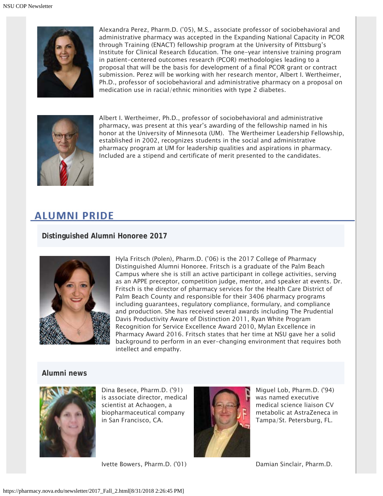

Alexandra Perez, Pharm.D. ('05), M.S., associate professor of sociobehavioral and administrative pharmacy was accepted in the Expanding National Capacity in PCOR through Training (ENACT) fellowship program at the University of Pittsburg's Institute for Clinical Research Education. The one-year intensive training program in patient-centered outcomes research (PCOR) methodologies leading to a proposal that will be the basis for development of a final PCOR grant or contract submission. Perez will be working with her research mentor, Albert I. Wertheimer, Ph.D., professor of sociobehavioral and administrative pharmacy on a proposal on medication use in racial/ethnic minorities with type 2 diabetes.



Albert I. Wertheimer, Ph.D., professor of sociobehavioral and administrative pharmacy, was present at this year's awarding of the fellowship named in his honor at the University of Minnesota (UM). The Wertheimer Leadership Fellowship, established in 2002, recognizes students in the social and administrative pharmacy program at UM for leadership qualities and aspirations in pharmacy. Included are a stipend and certificate of merit presented to the candidates.

### **ALUMNI PRIDE**

#### **Distinguished Alumni Honoree 2017**



Hyla Fritsch (Polen), Pharm.D. ('06) is the 2017 College of Pharmacy Distinguished Alumni Honoree. Fritsch is a graduate of the Palm Beach Campus where she is still an active participant in college activities, serving as an APPE preceptor, competition judge, mentor, and speaker at events. Dr. Fritsch is the director of pharmacy services for the Health Care District of Palm Beach County and responsible for their 3406 pharmacy programs including guarantees, regulatory compliance, formulary, and compliance and production. She has received several awards including The Prudential Davis Productivity Aware of Distinction 2011, Ryan White Program Recognition for Service Excellence Award 2010, Mylan Excellence in Pharmacy Award 2016. Fritsch states that her time at NSU gave her a solid background to perform in an ever-changing environment that requires both intellect and empathy.

#### **Alumni news**



Dina Besece, Pharm.D. ('91) is associate director, medical scientist at Achaogen, a biopharmaceutical company in San Francisco, CA.



Miguel Lob, Pharm.D. ('94) was named executive medical science liaison CV metabolic at AstraZeneca in Tampa/St. Petersburg, FL.

Ivette Bowers, Pharm.D. ('01) Damian Sinclair, Pharm.D.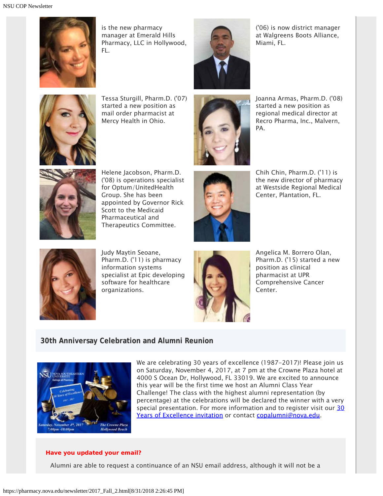

is the new pharmacy manager at Emerald Hills Pharmacy, LLC in Hollywood, FL.



('06) is now district manager at Walgreens Boots Alliance, Miami, FL.



Tessa Sturgill, Pharm.D. ('07) started a new position as mail order pharmacist at Mercy Health in Ohio.



Joanna Armas, Pharm.D. ('08) started a new position as regional medical director at Recro Pharma, Inc., Malvern, PA.



Helene Jacobson, Pharm.D. ('08) is operations specialist for Optum/UnitedHealth Group. She has been appointed by Governor Rick Scott to the Medicaid Pharmaceutical and Therapeutics Committee.



Chih Chin, Pharm.D. ('11) is the new director of pharmacy at Westside Regional Medical Center, Plantation, FL.



Judy Maytin Seoane, Pharm.D. ('11) is pharmacy information systems specialist at Epic developing software for healthcare organizations.



Angelica M. Borrero Olan, Pharm.D. ('15) started a new position as clinical pharmacist at UPR Comprehensive Cancer Center.

#### **30th Anniversay Celebration and Alumni Reunion**



We are celebrating 30 years of excellence (1987-2017)! Please join us on Saturday, November 4, 2017, at 7 pm at the Crowne Plaza hotel at 4000 S Ocean Dr, Hollywood, FL 33019. We are excited to announce this year will be the first time we host an Alumni Class Year Challenge! The class with the highest alumni representation (by percentage) at the celebrations will be declared the winner with a very special presentation. For more information and to register visit our [30](http://www.cvent.com/events/college-of-pharmacy-alumni-homecoming-reception-celebrating-30-years-of-excellence/event-summary-e217efc96b0b483281527d2930f393cf.aspx) [Years of Excellence invitation](http://www.cvent.com/events/college-of-pharmacy-alumni-homecoming-reception-celebrating-30-years-of-excellence/event-summary-e217efc96b0b483281527d2930f393cf.aspx) or contact [copalumni@nova.edu.](mailto:copalumni@nova.edu)

#### **Have you updated your email?**

Alumni are able to request a continuance of an NSU email address, although it will not be a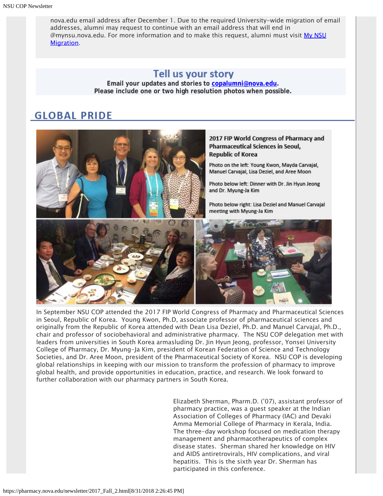nova.edu email address after December 1. Due to the required University-wide migration of email addresses, alumni may request to continue with an email address that will end in @mynsu.nova.edu. For more information and to make this request, alumni must visit [My NSU](https://www.nova.edu/oiit/office-365/mynsumigration/index.html) [Migration.](https://www.nova.edu/oiit/office-365/mynsumigration/index.html)

### Tell us your story

**Email your updates and stories to [copalumni@nova.edu.](mailto:copalumni@nova.edu) Please include one or two high resolution photos when possible.**

# **GLOBAL PRIDE**



In September NSU COP attended the 2017 FIP World Congress of Pharmacy and Pharmaceutical Sciences in Seoul, Republic of Korea. Young Kwon, Ph.D, associate professor of pharmaceutical sciences and originally from the Republic of Korea attended with Dean Lisa Deziel, Ph.D. and Manuel Carvajal, Ph.D., chair and professor of sociobehavioral and administrative pharmacy. The NSU COP delegation met with leaders from universities in South Korea armasluding Dr. Jin Hyun Jeong, professor, Yonsei University College of Pharmacy, Dr. Myung-Ja Kim, president of Korean Federation of Science and Technology Societies, and Dr. Aree Moon, president of the Pharmaceutical Society of Korea. NSU COP is developing global relationships in keeping with our mission to transform the profession of pharmacy to improve global health, and provide opportunities in education, practice, and research. We look forward to further collaboration with our pharmacy partners in South Korea.

> Elizabeth Sherman, Pharm.D. ('07), assistant professor of pharmacy practice, was a guest speaker at the Indian Association of Colleges of Pharmacy (IAC) and Devaki Amma Memorial College of Pharmacy in Kerala, India. The three-day workshop focused on medication therapy management and pharmacotherapeutics of complex disease states. Sherman shared her knowledge on HIV and AIDS antiretrovirals, HIV complications, and viral hepatitis. This is the sixth year Dr. Sherman has participated in this conference.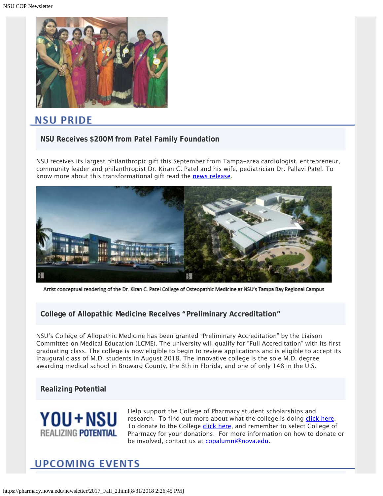

## NSU PRIDE

#### **NSU Receives \$200M from Patel Family Foundation**

NSU receives its largest philanthropic gift this September from Tampa-area cardiologist, entrepreneur, community leader and philanthropist Dr. Kiran C. Patel and his wife, pediatrician Dr. Pallavi Patel. To know more about this transformational gift read the [news release](https://nsunews.nova.edu/nova-southeastern-university-receives-200-million-commitment-from-patel-family-foundation/).



Artist conceptual rendering of the Dr. Kiran C. Patel College of Osteopathic Medicine at NSU's Tampa Bay Regional Campus

#### **College of Allopathic Medicine Receives "Preliminary Accreditation"**

NSU's College of Allopathic Medicine has been granted "Preliminary Accreditation" by the Liaison Committee on Medical Education (LCME). The university will qualify for "Full Accreditation" with its first graduating class. The college is now eligible to begin to review applications and is eligible to accept its inaugural class of M.D. students in August 2018. The innovative college is the sole M.D. degree awarding medical school in Broward County, the 8th in Florida, and one of only 148 in the U.S.

#### **Realizing Potential**



Help support the College of Pharmacy student scholarships and research. To find out more about what the college is doing [click here](https://www.nova.edu/publications/realizingpotential/pharmacy/). To donate to the College [click here](https://realizingpotential.nova.edu/give/index.html?area=Research&designation=AutoNation%20Institute%20for%20Breast%20and%20Solid%20Tumor%20Research), and remember to select College of Pharmacy for your donations. For more information on how to donate or be involved, contact us at [copalumni@nova.edu](mailto:copalumni@nova.edu).

# **UPCOMING EVENTS**